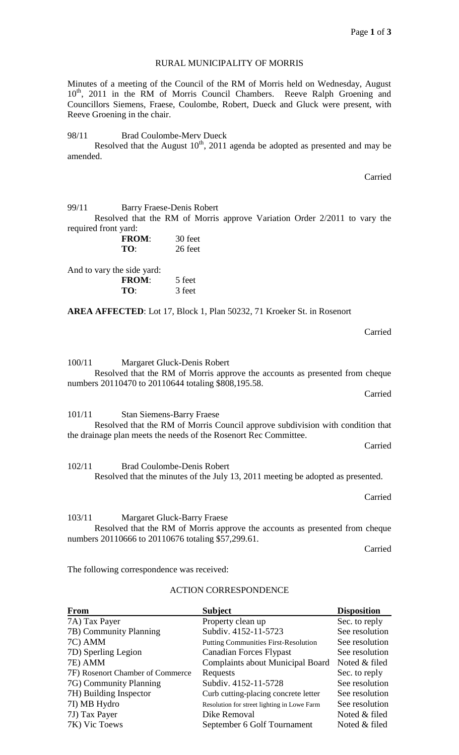## RURAL MUNICIPALITY OF MORRIS

Minutes of a meeting of the Council of the RM of Morris held on Wednesday, August 10<sup>th</sup>, 2011 in the RM of Morris Council Chambers. Reeve Ralph Groening and Councillors Siemens, Fraese, Coulombe, Robert, Dueck and Gluck were present, with Reeve Groening in the chair.

98/11 Brad Coulombe-Merv Dueck

Resolved that the August  $10^{th}$ , 2011 agenda be adopted as presented and may be amended.

Carried

| 99/11                      | <b>Barry Fraese-Denis Robert</b>                                                                                                                                                                                                                                                                                                                                                                                                                                                           |                                                                                                                                     |         |
|----------------------------|--------------------------------------------------------------------------------------------------------------------------------------------------------------------------------------------------------------------------------------------------------------------------------------------------------------------------------------------------------------------------------------------------------------------------------------------------------------------------------------------|-------------------------------------------------------------------------------------------------------------------------------------|---------|
|                            |                                                                                                                                                                                                                                                                                                                                                                                                                                                                                            | Resolved that the RM of Morris approve Variation Order 2/2011 to vary the                                                           |         |
| required front yard:       |                                                                                                                                                                                                                                                                                                                                                                                                                                                                                            |                                                                                                                                     |         |
|                            | <b>FROM:</b>                                                                                                                                                                                                                                                                                                                                                                                                                                                                               | 30 feet                                                                                                                             |         |
|                            | TO:                                                                                                                                                                                                                                                                                                                                                                                                                                                                                        | 26 feet                                                                                                                             |         |
|                            |                                                                                                                                                                                                                                                                                                                                                                                                                                                                                            |                                                                                                                                     |         |
| And to vary the side yard: |                                                                                                                                                                                                                                                                                                                                                                                                                                                                                            |                                                                                                                                     |         |
|                            | <b>FROM:</b>                                                                                                                                                                                                                                                                                                                                                                                                                                                                               | 5 feet                                                                                                                              |         |
|                            | TO:                                                                                                                                                                                                                                                                                                                                                                                                                                                                                        | 3 feet                                                                                                                              |         |
|                            |                                                                                                                                                                                                                                                                                                                                                                                                                                                                                            |                                                                                                                                     |         |
|                            |                                                                                                                                                                                                                                                                                                                                                                                                                                                                                            | AREA AFFECTED: Lot 17, Block 1, Plan 50232, 71 Kroeker St. in Rosenort                                                              |         |
|                            |                                                                                                                                                                                                                                                                                                                                                                                                                                                                                            |                                                                                                                                     |         |
|                            |                                                                                                                                                                                                                                                                                                                                                                                                                                                                                            |                                                                                                                                     | Carried |
|                            |                                                                                                                                                                                                                                                                                                                                                                                                                                                                                            |                                                                                                                                     |         |
|                            |                                                                                                                                                                                                                                                                                                                                                                                                                                                                                            |                                                                                                                                     |         |
|                            |                                                                                                                                                                                                                                                                                                                                                                                                                                                                                            | 100/11 Margaret Gluck-Denis Robert                                                                                                  |         |
|                            |                                                                                                                                                                                                                                                                                                                                                                                                                                                                                            | Resolved that the RM of Morris approve the accounts as presented from cheque<br>numbers 20110470 to 20110644 totaling \$808,195.58. |         |
|                            |                                                                                                                                                                                                                                                                                                                                                                                                                                                                                            |                                                                                                                                     | Carried |
|                            |                                                                                                                                                                                                                                                                                                                                                                                                                                                                                            |                                                                                                                                     |         |
| 101/11                     | <b>Stan Siemens-Barry Fraese</b>                                                                                                                                                                                                                                                                                                                                                                                                                                                           |                                                                                                                                     |         |
|                            |                                                                                                                                                                                                                                                                                                                                                                                                                                                                                            | Resolved that the RM of Morris Council approve subdivision with condition that                                                      |         |
|                            |                                                                                                                                                                                                                                                                                                                                                                                                                                                                                            | the drainage plan meets the needs of the Rosenort Rec Committee.                                                                    |         |
|                            |                                                                                                                                                                                                                                                                                                                                                                                                                                                                                            |                                                                                                                                     | Carried |
|                            |                                                                                                                                                                                                                                                                                                                                                                                                                                                                                            |                                                                                                                                     |         |
| 102/11                     |                                                                                                                                                                                                                                                                                                                                                                                                                                                                                            | <b>Brad Coulombe-Denis Robert</b>                                                                                                   |         |
|                            |                                                                                                                                                                                                                                                                                                                                                                                                                                                                                            | Resolved that the minutes of the July 13, 2011 meeting be adopted as presented.                                                     |         |
|                            |                                                                                                                                                                                                                                                                                                                                                                                                                                                                                            |                                                                                                                                     |         |
|                            |                                                                                                                                                                                                                                                                                                                                                                                                                                                                                            |                                                                                                                                     | Carried |
|                            |                                                                                                                                                                                                                                                                                                                                                                                                                                                                                            |                                                                                                                                     |         |
|                            |                                                                                                                                                                                                                                                                                                                                                                                                                                                                                            | 103/11 Margaret Gluck-Barry Fraese                                                                                                  |         |
|                            | $\blacksquare$ $\blacksquare$ $\blacksquare$ $\blacksquare$ $\blacksquare$ $\blacksquare$ $\blacksquare$ $\blacksquare$ $\blacksquare$ $\blacksquare$ $\blacksquare$ $\blacksquare$ $\blacksquare$ $\blacksquare$ $\blacksquare$ $\blacksquare$ $\blacksquare$ $\blacksquare$ $\blacksquare$ $\blacksquare$ $\blacksquare$ $\blacksquare$ $\blacksquare$ $\blacksquare$ $\blacksquare$ $\blacksquare$ $\blacksquare$ $\blacksquare$ $\blacksquare$ $\blacksquare$ $\blacksquare$ $\blacks$ |                                                                                                                                     |         |

Resolved that the RM of Morris approve the accounts as presented from cheque numbers 20110666 to 20110676 totaling \$57,299.61.

Carried

The following correspondence was received:

# ACTION CORRESPONDENCE

| <b>From</b>                      | <b>Subject</b>                              | <b>Disposition</b> |
|----------------------------------|---------------------------------------------|--------------------|
| 7A) Tax Payer                    | Property clean up                           | Sec. to reply      |
| 7B) Community Planning           | Subdiv. 4152-11-5723                        | See resolution     |
| 7C) AMM                          | <b>Putting Communities First-Resolution</b> | See resolution     |
| 7D) Sperling Legion              | <b>Canadian Forces Flypast</b>              | See resolution     |
| 7E) AMM                          | <b>Complaints about Municipal Board</b>     | Noted & filed      |
| 7F) Rosenort Chamber of Commerce | Requests                                    | Sec. to reply      |
| 7G) Community Planning           | Subdiv. 4152-11-5728                        | See resolution     |
| 7H) Building Inspector           | Curb cutting-placing concrete letter        | See resolution     |
| 7I) MB Hydro                     | Resolution for street lighting in Lowe Farm | See resolution     |
| 7J) Tax Payer                    | Dike Removal                                | Noted & filed      |
| 7K) Vic Toews                    | September 6 Golf Tournament                 | Noted & filed      |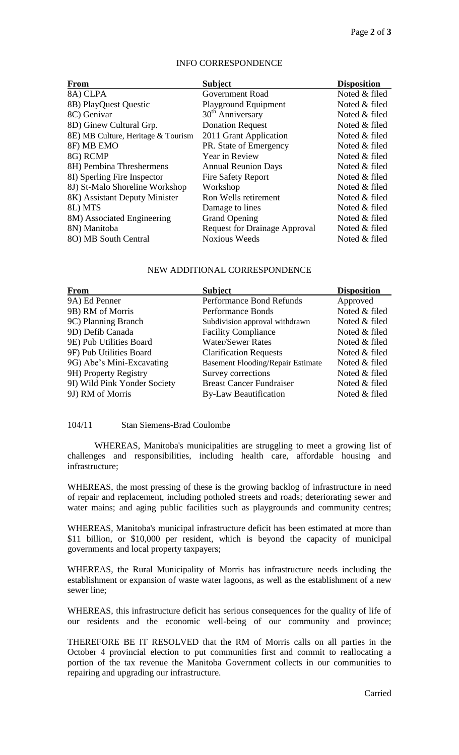### INFO CORRESPONDENCE

| From                               | <b>Subject</b>                       | <b>Disposition</b> |
|------------------------------------|--------------------------------------|--------------------|
| 8A) CLPA                           | Government Road                      | Noted & filed      |
| 8B) PlayQuest Questic              | Playground Equipment                 | Noted & filed      |
| 8C) Genivar                        | 30 <sup>th</sup> Anniversary         | Noted & filed      |
| 8D) Ginew Cultural Grp.            | <b>Donation Request</b>              | Noted & filed      |
| 8E) MB Culture, Heritage & Tourism | 2011 Grant Application               | Noted & filed      |
| 8F) MB EMO                         | PR. State of Emergency               | Noted & filed      |
| 8G) RCMP                           | Year in Review                       | Noted & filed      |
| 8H) Pembina Threshermens           | <b>Annual Reunion Days</b>           | Noted & filed      |
| 8I) Sperling Fire Inspector        | <b>Fire Safety Report</b>            | Noted & filed      |
| 8J) St-Malo Shoreline Workshop     | Workshop                             | Noted & filed      |
| 8K) Assistant Deputy Minister      | Ron Wells retirement                 | Noted & filed      |
| 8L) MTS                            | Damage to lines                      | Noted & filed      |
| 8M) Associated Engineering         | <b>Grand Opening</b>                 | Noted & filed      |
| 8N) Manitoba                       | <b>Request for Drainage Approval</b> | Noted & filed      |
| 8O) MB South Central               | <b>Noxious Weeds</b>                 | Noted & filed      |

## NEW ADDITIONAL CORRESPONDENCE

| <b>From</b>                  | <b>Subject</b>                           | <b>Disposition</b> |
|------------------------------|------------------------------------------|--------------------|
| 9A) Ed Penner                | Performance Bond Refunds                 | Approved           |
| 9B) RM of Morris             | Performance Bonds                        | Noted & filed      |
| 9C) Planning Branch          | Subdivision approval withdrawn           | Noted & filed      |
| 9D) Defib Canada             | <b>Facility Compliance</b>               | Noted & filed      |
| 9E) Pub Utilities Board      | <b>Water/Sewer Rates</b>                 | Noted & filed      |
| 9F) Pub Utilities Board      | <b>Clarification Requests</b>            | Noted & filed      |
| 9G) Abe's Mini-Excavating    | <b>Basement Flooding/Repair Estimate</b> | Noted & filed      |
| 9H) Property Registry        | Survey corrections                       | Noted & filed      |
| 9I) Wild Pink Yonder Society | <b>Breast Cancer Fundraiser</b>          | Noted & filed      |
| 9J) RM of Morris             | <b>By-Law Beautification</b>             | Noted & filed      |

### 104/11 Stan Siemens-Brad Coulombe

WHEREAS, Manitoba's municipalities are struggling to meet a growing list of challenges and responsibilities, including health care, affordable housing and infrastructure;

WHEREAS, the most pressing of these is the growing backlog of infrastructure in need of repair and replacement, including potholed streets and roads; deteriorating sewer and water mains; and aging public facilities such as playgrounds and community centres;

WHEREAS, Manitoba's municipal infrastructure deficit has been estimated at more than \$11 billion, or \$10,000 per resident, which is beyond the capacity of municipal governments and local property taxpayers;

WHEREAS, the Rural Municipality of Morris has infrastructure needs including the establishment or expansion of waste water lagoons, as well as the establishment of a new sewer line;

WHEREAS, this infrastructure deficit has serious consequences for the quality of life of our residents and the economic well-being of our community and province;

THEREFORE BE IT RESOLVED that the RM of Morris calls on all parties in the October 4 provincial election to put communities first and commit to reallocating a portion of the tax revenue the Manitoba Government collects in our communities to repairing and upgrading our infrastructure.